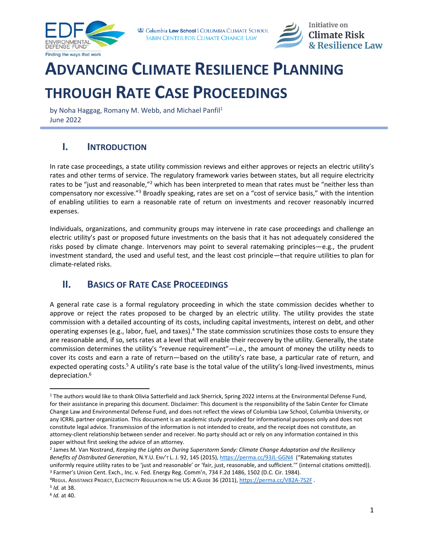



# **ADVANCING CLIMATE RESILIENCE PLANNING THROUGH RATE CASE PROCEEDINGS**

by Noha Haggag, Romany M. Webb, and Michael Panfil<sup>1</sup> June 2022

# **I. INTRODUCTION**

In rate case proceedings, a state utility commission reviews and either approves or rejects an electric utility's rates and other terms of service. The regulatory framework varies between states, but all require electricity rates to be "just and reasonable,"<sup>2</sup> which has been interpreted to mean that rates must be "neither less than compensatory nor excessive."<sup>3</sup> Broadly speaking, rates are set on a "cost of service basis," with the intention of enabling utilities to earn a reasonable rate of return on investments and recover reasonably incurred expenses.

Individuals, organizations, and community groups may intervene in rate case proceedings and challenge an electric utility's past or proposed future investments on the basis that it has not adequately considered the risks posed by climate change. Intervenors may point to several ratemaking principles—e.g., the prudent investment standard, the used and useful test, and the least cost principle—that require utilities to plan for climate-related risks.

# <span id="page-0-0"></span>**II. BASICS OF RATE CASE PROCEEDINGS**

A general rate case is a formal regulatory proceeding in which the state commission decides whether to approve or reject the rates proposed to be charged by an electric utility. The utility provides the state commission with a detailed accounting of its costs, including capital investments, interest on debt, and other operating expenses (e.g., labor, fuel, and taxes).<sup>4</sup> The state commission scrutinizes those costs to ensure they are reasonable and, if so, sets rates at a level that will enable their recovery by the utility. Generally, the state commission determines the utility's "revenue requirement"—i.e., the amount of money the utility needs to cover its costs and earn a rate of return—based on the utility's rate base, a particular rate of return, and expected operating costs.<sup>5</sup> A utility's rate base is the total value of the utility's long-lived investments, minus depreciation.<sup>6</sup>

<sup>&</sup>lt;sup>1</sup> The authors would like to thank Olivia Satterfield and Jack Sherrick, Spring 2022 interns at the Environmental Defense Fund, for their assistance in preparing this document. Disclaimer: This document is the responsibility of the Sabin Center for Climate Change Law and Environmental Defense Fund, and does not reflect the views of Columbia Law School, Columbia University, or any ICRRL partner organization. This document is an academic study provided for informational purposes only and does not constitute legal advice. Transmission of the information is not intended to create, and the receipt does not constitute, an attorney-client relationship between sender and receiver. No party should act or rely on any information contained in this paper without first seeking the advice of an attorney.

<sup>2</sup> James M. Van Nostrand, *Keeping the Lights on During Superstorm Sandy: Climate Change Adaptation and the Resiliency Benefits of Distributed Generation*, N.Y.U. ENV'T L. J. 92, 145 (2015)[, https://perma.cc/93JL-GGN4](https://perma.cc/93JL-GGN4) ("Ratemaking statutes uniformly require utility rates to be 'just and reasonable' or 'fair, just, reasonable, and sufficient.'" (internal citations omitted)). <sup>3</sup> Farmer's Union Cent. Exch., Inc. v. Fed. Energy Reg. Comm'n, 734 F.2d 1486, 1502 (D.C. Cir. 1984).

<sup>4</sup>REGUL. ASSISTANCE PROJECT, ELECTRICITY REGULATION IN THE US: A GUIDE 36 (2011)[, https://perma.cc/V82A-7S2F](https://perma.cc/V82A-7S2F).

<sup>5</sup> *Id.* at 38.

<sup>6</sup> *Id.* at 40.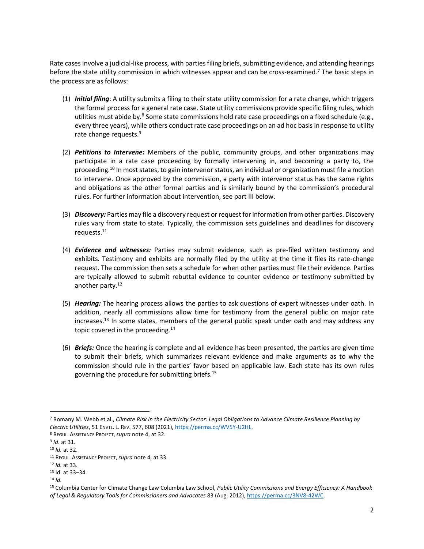Rate cases involve a judicial-like process, with parties filing briefs, submitting evidence, and attending hearings before the state utility commission in which witnesses appear and can be cross-examined.<sup>7</sup> The basic steps in the process are as follows:

- <span id="page-1-0"></span>(1) *Initial filing*: A utility submits a filing to their state utility commission for a rate change, which triggers the formal process for a general rate case. State utility commissions provide specific filing rules, which utilities must abide by.<sup>8</sup> Some state commissions hold rate case proceedings on a fixed schedule (e.g., every three years), while others conduct rate case proceedings on an ad hoc basis in response to utility rate change requests. 9
- (2) *Petitions to Intervene:* Members of the public, community groups, and other organizations may participate in a rate case proceeding by formally intervening in, and becoming a party to, the proceeding.<sup>10</sup> In most states, to gain intervenor status, an individual or organization must file a motion to intervene. Once approved by the commission, a party with intervenor status has the same rights and obligations as the other formal parties and is similarly bound by the commission's procedural rules. For further information about intervention, see part III below.
- (3) *Discovery:* Parties may file a discovery request or request for information from other parties. Discovery rules vary from state to state. Typically, the commission sets guidelines and deadlines for discovery requests.<sup>11</sup>
- (4) *Evidence and witnesses:* Parties may submit evidence, such as pre-filed written testimony and exhibits. Testimony and exhibits are normally filed by the utility at the time it files its rate-change request. The commission then sets a schedule for when other parties must file their evidence. Parties are typically allowed to submit rebuttal evidence to counter evidence or testimony submitted by another party.<sup>12</sup>
- (5) *Hearing:* The hearing process allows the parties to ask questions of expert witnesses under oath. In addition, nearly all commissions allow time for testimony from the general public on major rate increases.<sup>13</sup> In some states, members of the general public speak under oath and may address any topic covered in the proceeding. $14$
- (6) *Briefs:* Once the hearing is complete and all evidence has been presented, the parties are given time to submit their briefs, which summarizes relevant evidence and make arguments as to why the commission should rule in the parties' favor based on applicable law. Each state has its own rules governing the procedure for submitting briefs. 15

<sup>7</sup> Romany M. Webb et al., *Climate Risk in the Electricity Sector: Legal Obligations to Advance Climate Resilience Planning by Electric Utilities*, 51 ENVTL. L. REV. 577, 608 (2021)[, https://perma.cc/WV5Y-U2HL.](https://perma.cc/WV5Y-U2HL)

<sup>8</sup> REGUL. ASSISTANCE PROJECT,*supra* not[e 4,](#page-0-0) at 32.

<sup>9</sup> *Id*. at 31.

<sup>10</sup> *Id.* at 32.

<sup>11</sup> REGUL. ASSISTANCE PROJECT,*supra* not[e 4,](#page-0-0) at 33.

<sup>12</sup> *Id.* at 33.

<sup>13</sup> Id. at 33–34.

<sup>14</sup> *Id.*

<sup>15</sup> Columbia Center for Climate Change Law Columbia Law School, *Public Utility Commissions and Energy Efficiency: A Handbook of Legal & Regulatory Tools for Commissioners and Advocates* 83 (Aug. 2012)[, https://perma.cc/3NV8-42WC.](https://perma.cc/3NV8-42WC)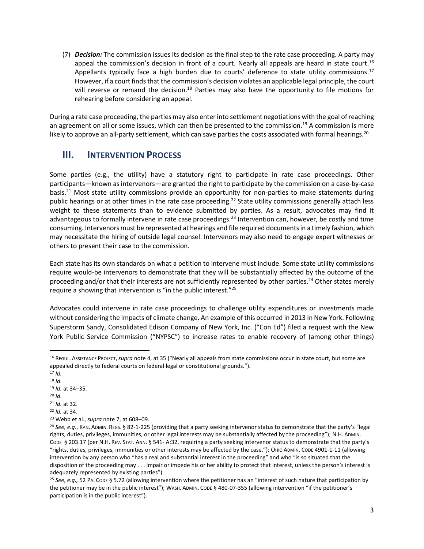(7) *Decision:* The commission issues its decision as the final step to the rate case proceeding. A party may appeal the commission's decision in front of a court. Nearly all appeals are heard in state court.<sup>16</sup> Appellants typically face a high burden due to courts' deference to state utility commissions.<sup>17</sup> However, if a court finds that the commission's decision violates an applicable legal principle, the court will reverse or remand the decision.<sup>18</sup> Parties may also have the opportunity to file motions for rehearing before considering an appeal.

During a rate case proceeding, the parties may also enter into settlement negotiations with the goal of reaching an agreement on all or some issues, which can then be presented to the commission.<sup>19</sup> A commission is more likely to approve an all-party settlement, which can save parties the costs associated with formal hearings.<sup>20</sup>

### **III. INTERVENTION PROCESS**

Some parties (e.g., the utility) have a statutory right to participate in rate case proceedings. Other participants—known as intervenors—are granted the right to participate by the commission on a case-by-case basis.<sup>21</sup> Most state utility commissions provide an opportunity for non-parties to make statements during public hearings or at other times in the rate case proceeding.<sup>22</sup> State utility commissions generally attach less weight to these statements than to evidence submitted by parties. As a result, advocates may find it advantageous to formally intervene in rate case proceedings.<sup>23</sup> Intervention can, however, be costly and time consuming. Intervenors must be represented at hearings and file required documents in a timely fashion, which may necessitate the hiring of outside legal counsel. Intervenors may also need to engage expert witnesses or others to present their case to the commission.

Each state has its own standards on what a petition to intervene must include. Some state utility commissions require would-be intervenors to demonstrate that they will be substantially affected by the outcome of the proceeding and/or that their interests are not sufficiently represented by other parties.<sup>24</sup> Other states merely require a showing that intervention is "in the public interest."<sup>25</sup>

Advocates could intervene in rate case proceedings to challenge utility expenditures or investments made without considering the impacts of climate change. An example of this occurred in 2013 in New York. Following Superstorm Sandy, Consolidated Edison Company of New York, Inc. ("Con Ed") filed a request with the New York Public Service Commission ("NYPSC") to increase rates to enable recovery of (among other things)

<sup>16</sup> REGUL. ASSISTANCE PROJECT,*supra* not[e 4,](#page-0-0) at 35 ("Nearly all appeals from state commissions occur in state court, but some are appealed directly to federal courts on federal legal or constitutional grounds.").

<sup>17</sup> *Id.*

<sup>18</sup> *Id.* <sup>19</sup> *Id.* at 34–35.

<sup>20</sup> *Id.*

<sup>21</sup> *Id.* at 32.

<sup>22</sup> *Id.* at 34.

<sup>23</sup> Webb et al., *supra* not[e 7,](#page-1-0) at 608–09.

<sup>&</sup>lt;sup>24</sup> See, e.g., KAN. ADMIN. REGS. § 82-1-225 (providing that a party seeking intervenor status to demonstrate that the party's "legal rights, duties, privileges, immunities, or other legal interests may be substantially affected by the proceeding"); N.H. ADMIN. CODE § 203.17 (per N.H. REV. STAT. ANN. § 541- A:32, requiring a party seeking intervenor status to demonstrate that the party's "rights, duties, privileges, immunities or other interests may be affected by the case."); OHIO ADMIN. CODE 4901-1-11 (allowing intervention by any person who "has a real and substantial interest in the proceeding" and who "is so situated that the disposition of the proceeding may . . . impair or impede his or her ability to protect that interest, unless the person's interest is adequately represented by existing parties").

<sup>25</sup> *See, e.g.,* 52 PA. CODE § 5.72 (allowing intervention where the petitioner has an "interest of such nature that participation by the petitioner may be in the public interest"); WASH. ADMIN. CODE § 480-07-355 (allowing intervention "if the petitioner's participation is in the public interest").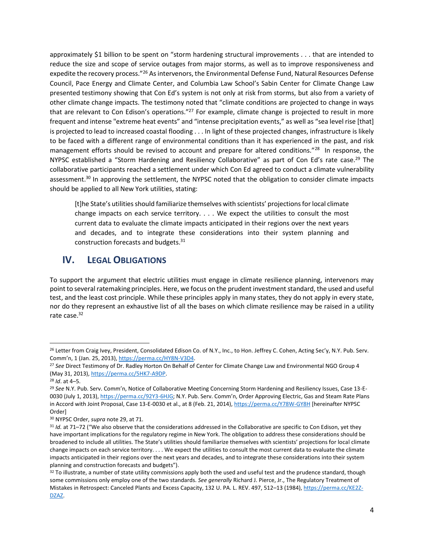approximately \$1 billion to be spent on "storm hardening structural improvements . . . that are intended to reduce the size and scope of service outages from major storms, as well as to improve responsiveness and expedite the recovery process."<sup>26</sup> As intervenors, the Environmental Defense Fund, Natural Resources Defense Council, Pace Energy and Climate Center, and Columbia Law School's Sabin Center for Climate Change Law presented testimony showing that Con Ed's system is not only at risk from storms, but also from a variety of other climate change impacts. The testimony noted that "climate conditions are projected to change in ways that are relevant to Con Edison's operations."<sup>27</sup> For example, climate change is projected to result in more frequent and intense "extreme heat events" and "intense precipitation events," as well as "sea level rise [that] is projected to lead to increased coastal flooding . . . In light of these projected changes, infrastructure is likely to be faced with a different range of environmental conditions than it has experienced in the past, and risk management efforts should be revised to account and prepare for altered conditions."<sup>28</sup> In response, the NYPSC established a "Storm Hardening and Resiliency Collaborative" as part of Con Ed's rate case.<sup>29</sup> The collaborative participants reached a settlement under which Con Ed agreed to conduct a climate vulnerability assessment.<sup>30</sup> In approving the settlement, the NYPSC noted that the obligation to consider climate impacts should be applied to all New York utilities, stating:

<span id="page-3-0"></span>[t]he State's utilities should familiarize themselves with scientists' projections for local climate change impacts on each service territory. . . . We expect the utilities to consult the most current data to evaluate the climate impacts anticipated in their regions over the next years and decades, and to integrate these considerations into their system planning and construction forecasts and budgets.<sup>31</sup>

#### **IV.** LEGAL OBLIGATIONS

To support the argument that electric utilities must engage in climate resilience planning, intervenors may point to several ratemaking principles. Here, we focus on the prudent investment standard, the used and useful test, and the least cost principle. While these principles apply in many states, they do not apply in every state, nor do they represent an exhaustive list of all the bases on which climate resilience may be raised in a utility rate case. 32

<sup>&</sup>lt;sup>26</sup> Letter from Craig Ivey, President, Consolidated Edison Co. of N.Y., Inc., to Hon. Jeffrey C. Cohen, Acting Sec'y, N.Y. Pub. Serv. Comm'n, 1 (Jan. 25, 2013), [https://perma.cc/HY8N-V3D4.](https://perma.cc/HY8N-V3D4)

<sup>27</sup> *See* Direct Testimony of Dr. Radley Horton On Behalf of Center for Climate Change Law and Environmental NGO Group 4 (May 31, 2013)[, https://perma.cc/5HK7-A9DP.](https://perma.cc/5HK7-A9DP)

<sup>28</sup> *Id*. at 4–5.

<sup>29</sup> *See* N.Y. Pub. Serv. Comm'n, Notice of Collaborative Meeting Concerning Storm Hardening and Resiliency Issues, Case 13-E0030 (July 1, 2013),<https://perma.cc/92Y3-6HJG>; N.Y. Pub. Serv. Comm'n, Order Approving Electric, Gas and Steam Rate Plans in Accord with Joint Proposal, Case 13-E-0030 et al., at 8 (Feb. 21, 2014)[, https://perma.cc/Y78W-GY8H](https://perma.cc/Y78W-GY8H) [hereinafter NYPSC Order]

<sup>30</sup> NYPSC Order, *supra* not[e 29,](#page-3-0) at 71.

<sup>&</sup>lt;sup>31</sup> *Id.* at 71–72 ("We also observe that the considerations addressed in the Collaborative are specific to Con Edison, yet they have important implications for the regulatory regime in New York. The obligation to address these considerations should be broadened to include all utilities. The State's utilities should familiarize themselves with scientists' projections for local climate change impacts on each service territory. . . . We expect the utilities to consult the most current data to evaluate the climate impacts anticipated in their regions over the next years and decades, and to integrate these considerations into their system planning and construction forecasts and budgets").

<sup>32</sup> To illustrate, a number of state utility commissions apply both the used and useful test and the prudence standard, though some commissions only employ one of the two standards. *See generally* Richard J. Pierce, Jr., The Regulatory Treatment of Mistakes in Retrospect: Canceled Plants and Excess Capacity, 132 U. PA. L. REV. 497, 512–13 (1984)[, https://perma.cc/KE2Z-](https://perma.cc/KE2Z-DZAZ)[DZAZ.](https://perma.cc/KE2Z-DZAZ)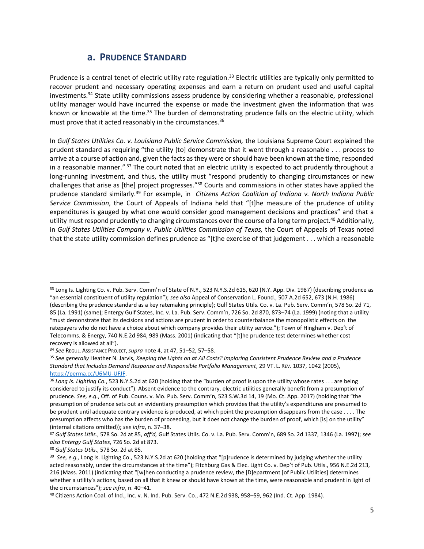#### **a. PRUDENCE STANDARD**

Prudence is a central tenet of electric utility rate regulation.<sup>33</sup> Electric utilities are typically only permitted to recover prudent and necessary operating expenses and earn a return on prudent used and useful capital investments.<sup>34</sup> State utility commissions assess prudence by considering whether a reasonable, professional utility manager would have incurred the expense or made the investment given the information that was known or knowable at the time.<sup>35</sup> The burden of demonstrating prudence falls on the electric utility, which must prove that it acted reasonably in the circumstances.<sup>36</sup>

<span id="page-4-1"></span><span id="page-4-0"></span>In *Gulf States Utilities Co. v. Louisiana Public Service Commission,* the Louisiana Supreme Court explained the prudent standard as requiring "the utility [to] demonstrate that it went through a reasonable . . . process to arrive at a course of action and, given the facts as they were or should have been known at the time, responded in a reasonable manner." <sup>37</sup> The court noted that an electric utility is expected to act prudently throughout a long-running investment, and thus, the utility must "respond prudently to changing circumstances or new challenges that arise as [the] project progresses."<sup>38</sup> Courts and commissions in other states have applied the prudence standard similarly.<sup>39</sup> For example, in *Citizens Action Coalition of Indiana v. North Indiana Public Service Commission*, the Court of Appeals of Indiana held that "[t]he measure of the prudence of utility expenditures is gauged by what one would consider good management decisions and practices" and that a utility must respond prudently to changing circumstances over the course of a long term project.<sup>40</sup> Additionally, in *Gulf States Utilities Company v. Public Utilities Commission of Texas,* the Court of Appeals of Texas noted that the state utility commission defines prudence as "[t]he exercise of that judgement . . . which a reasonable

<span id="page-4-2"></span><sup>33</sup> Long Is. Lighting Co. v. Pub. Serv. Comm'n of State of N.Y., 523 N.Y.S.2d 615, 620 (N.Y. App. Div. 1987) (describing prudence as "an essential constituent of utility regulation"); *see also* Appeal of Conservation L. Found., 507 A.2d 652, 673 (N.H. 1986) (describing the prudence standard as a key ratemaking principle); Gulf States Utils. Co. v. La. Pub. Serv. Comm'n, 578 So. 2d 71, 85 (La. 1991) (same); Entergy Gulf States, Inc. v. La. Pub. Serv. Comm'n, 726 So. 2d 870, 873–74 (La. 1999) (noting that a utility "must demonstrate that its decisions and actions are prudent in order to counterbalance the monopolistic effects on the ratepayers who do not have a choice about which company provides their utility service."); Town of Hingham v. Dep't of Telecomms. & Energy, 740 N.E.2d 984, 989 (Mass. 2001) (indicating that "[t]he prudence test determines whether cost recovery is allowed at all").

<sup>34</sup> *See* REGUL. ASSISTANCE PROJECT,*supra* not[e 4,](#page-0-0) at 47, 51–52, 57–58.

<sup>35</sup> *See generally* Heather N. Jarvis, *Keeping the Lights on at All Costs? Imploring Consistent Prudence Review and a Prudence Standard that Includes Demand Response and Responsible Portfolio Management*, 29 VT. L. REV. 1037, 1042 (2005), [https://perma.cc/U6MU-UFJF.](https://perma.cc/U6MU-UFJF)

<sup>36</sup> *Long Is. Lighting Co.*, 523 N.Y.S.2d at 620 (holding that the "burden of proof is upon the utility whose rates . . . are being considered to justify its conduct"). Absent evidence to the contrary, electric utilities generally benefit from a presumption of prudence. *See, e.g.*, Off. of Pub. Couns. v. Mo. Pub. Serv. Comm'n, 523 S.W.3d 14, 19 (Mo. Ct. App. 2017) (holding that "the presumption of prudence sets out an evidentiary presumption which provides that the utility's expenditures are presumed to be prudent until adequate contrary evidence is produced, at which point the presumption disappears from the case . . . . The presumption affects who has the burden of proceeding, but it does not change the burden of proof, which [is] on the utility" (internal citations omitted)); *see infra*, n[. 37](#page-4-0)–[38.](#page-4-1)

<sup>37</sup> *Gulf States Utils.*, 578 So. 2d at 85, *aff'd,* Gulf States Utils. Co. v. La. Pub. Serv. Comm'n, 689 So. 2d 1337, 1346 (La. 1997); *see also Entergy Gulf States*, 726 So. 2d at 873.

<sup>38</sup> *Gulf States Utils*., 578 So. 2d at 85.

<sup>39</sup> *See, e.g.,* Long Is. Lighting Co., 523 N.Y.S.2d at 620 (holding that "[p]rudence is determined by judging whether the utility acted reasonably, under the circumstances at the time"); Fitchburg Gas & Elec. Light Co. v. Dep't of Pub. Utils., 956 N.E.2d 213, 216 (Mass. 2011) (indicating that "[w]hen conducting a prudence review, the [D]epartment [of Public Utilities] determines whether a utility's actions, based on all that it knew or should have known at the time, were reasonable and prudent in light of the circumstances"); *see infra*, n. [40](#page-4-2)–[41.](#page-5-0)

<sup>40</sup> Citizens Action Coal. of Ind., Inc. v. N. Ind. Pub. Serv. Co., 472 N.E.2d 938, 958–59, 962 (Ind. Ct. App. 1984).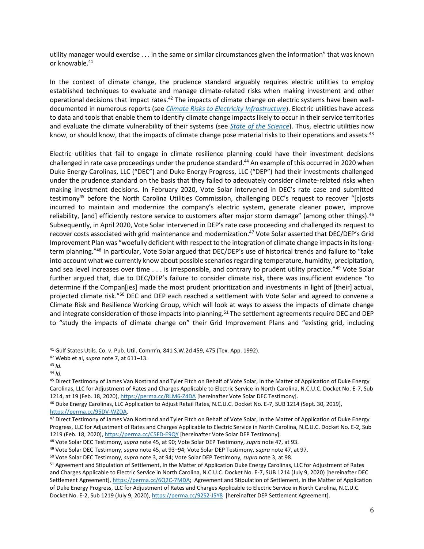<span id="page-5-0"></span>utility manager would exercise . . . in the same or similar circumstances given the information" that was known or knowable.<sup>41</sup>

In the context of climate change, the prudence standard arguably requires electric utilities to employ established techniques to evaluate and manage climate-related risks when making investment and other operational decisions that impact rates.<sup>42</sup> The impacts of climate change on electric systems have been welldocumented in numerous reports (see *Climate Risks [to Electricity Infrastructure](https://www.icrrl.org/files/2022/06/Climate-Risks-to-Electricity-Infrastructure-Supplement.pdf)*). Electric utilities have access to data and tools that enable them to identify climate change impacts likely to occur in their service territories and evaluate the climate vulnerability of their systems (see *[State of the Science](https://www.icrrl.org/files/2022/06/State-of-the-Science-Supplement.pdf)*). Thus, electric utilities now know, or should know, that the impacts of climate change pose material risks to their operations and assets.<sup>43</sup>

<span id="page-5-2"></span><span id="page-5-1"></span>Electric utilities that fail to engage in climate resilience planning could have their investment decisions challenged in rate case proceedings under the prudence standard. <sup>44</sup> An example of this occurred in 2020 when Duke Energy Carolinas, LLC ("DEC") and Duke Energy Progress, LLC ("DEP") had their investments challenged under the prudence standard on the basis that they failed to adequately consider climate-related risks when making investment decisions. In February 2020, Vote Solar intervened in DEC's rate case and submitted testimony<sup>45</sup> before the North Carolina Utilities Commission, challenging DEC's request to recover "[c]osts incurred to maintain and modernize the company's electric system, generate cleaner power, improve reliability, [and] efficiently restore service to customers after major storm damage" (among other things).<sup>46</sup> Subsequently, in April 2020, Vote Solar intervened in DEP's rate case proceeding and challenged its request to recover costs associated with grid maintenance and modernization.<sup>47</sup> Vote Solar asserted that DEC/DEP's Grid Improvement Plan was "woefully deficient with respect to the integration of climate change impacts in its longterm planning."<sup>48</sup> In particular, Vote Solar argued that DEC/DEP's use of historical trends and failure to "take into account what we currently know about possible scenarios regarding temperature, humidity, precipitation, and sea level increases over time . . . is irresponsible, and contrary to prudent utility practice."<sup>49</sup> Vote Solar further argued that, due to DEC/DEP's failure to consider climate risk, there was insufficient evidence "to determine if the Compan[ies] made the most prudent prioritization and investments in light of [their] actual, projected climate risk."<sup>50</sup> DEC and DEP each reached a settlement with Vote Solar and agreed to convene a Climate Risk and Resilience Working Group, which will look at ways to assess the impacts of climate change and integrate consideration of those impacts into planning.<sup>51</sup> The settlement agreements require DEC and DEP to "study the impacts of climate change on" their Grid Improvement Plans and "existing grid, including

<sup>41</sup> Gulf States Utils. Co. v. Pub. Util. Comm'n, 841 S.W.2d 459, 475 (Tex. App. 1992).

<sup>42</sup> Webb et al, *supra* note [7,](#page-1-0) at 611–13.

<sup>43</sup> *Id.*

<sup>44</sup> *Id.*

<sup>45</sup> Direct Testimony of James Van Nostrand and Tyler Fitch on Behalf of Vote Solar, In the Matter of Application of Duke Energy Carolinas, LLC for Adjustment of Rates and Charges Applicable to Electric Service in North Carolina, N.C.U.C. Docket No. E-7, Sub 1214, at 19 (Feb. 18, 2020)[, https://perma.cc/RLM6-Z4DA](https://perma.cc/RLM6-Z4DA) [hereinafter Vote Solar DEC Testimony].

<sup>46</sup> Duke Energy Carolinas, LLC Application to Adjust Retail Rates, N.C.U.C. Docket No. E-7, SUB 1214 (Sept. 30, 2019), [https://perma.cc/95DV-WZDA.](https://perma.cc/95DV-WZDA)

<sup>47</sup> Direct Testimony of James Van Nostrand and Tyler Fitch on Behalf of Vote Solar, In the Matter of Application of Duke Energy Progress, LLC for Adjustment of Rates and Charges Applicable to Electric Service in North Carolina, N.C.U.C. Docket No. E-2, Sub 1219 (Feb. 18, 2020)[, https://perma.cc/C5FD-E9QY](https://perma.cc/C5FD-E9QY) [hereinafter Vote Solar DEP Testimony].

<sup>48</sup> Vote Solar DEC Testimony, *supra* not[e 45,](#page-5-1) at 90; Vote Solar DEP Testimony, *supra* not[e 47,](#page-5-2) at 93.

<sup>49</sup> Vote Solar DEC Testimony, *supra* not[e 45,](#page-5-1) at 93–94; Vote Solar DEP Testimony, *supra* not[e 47,](#page-5-2) at 97.

<sup>50</sup> Vote Solar DEC Testimony, *supra* note 3, at 94; Vote Solar DEP Testimony, *supra* note 3, at 98.

<sup>51</sup> Agreement and Stipulation of Settlement, In the Matter of Application Duke Energy Carolinas, LLC for Adjustment of Rates and Charges Applicable to Electric Service in North Carolina, N.C.U.C. Docket No. E-7, SUB 1214 (July 9, 2020) [hereinafter DEC Settlement Agreement], [https://perma.cc/6Q2C-7MDA;](https://perma.cc/6Q2C-7MDA) Agreement and Stipulation of Settlement, In the Matter of Application of Duke Energy Progress, LLC for Adjustment of Rates and Charges Applicable to Electric Service in North Carolina, N.C.U.C. Docket No. E-2, Sub 1219 (July 9, 2020), <https://perma.cc/92S2-J5Y8> [hereinafter DEP Settlement Agreement].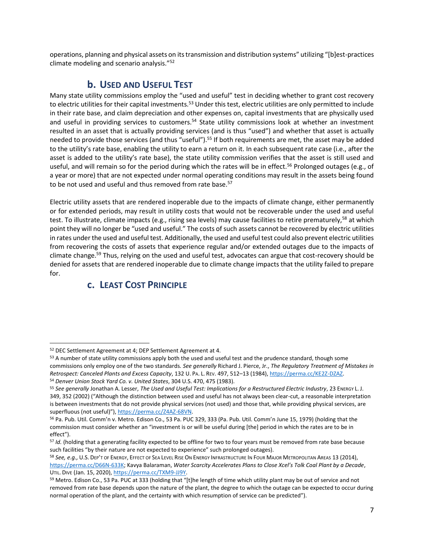operations, planning and physical assets on its transmission and distribution systems" utilizing "[b]est-practices climate modeling and scenario analysis."<sup>52</sup>

## **b. USED AND USEFUL TEST**

Many state utility commissions employ the "used and useful" test in deciding whether to grant cost recovery to electric utilities for their capital investments.<sup>53</sup> Under this test, electric utilities are only permitted to include in their rate base, and claim depreciation and other expenses on, capital investments that are physically used and useful in providing services to customers.<sup>54</sup> State utility commissions look at whether an investment resulted in an asset that is actually providing services (and is thus "used") and whether that asset is actually needed to provide those services (and thus "useful").<sup>55</sup> If both requirements are met, the asset may be added to the utility's rate base, enabling the utility to earn a return on it. In each subsequent rate case (i.e., after the asset is added to the utility's rate base), the state utility commission verifies that the asset is still used and useful, and will remain so for the period during which the rates will be in effect.<sup>56</sup> Prolonged outages (e.g., of a year or more) that are not expected under normal operating conditions may result in the assets being found to be not used and useful and thus removed from rate base.<sup>57</sup>

Electric utility assets that are rendered inoperable due to the impacts of climate change, either permanently or for extended periods, may result in utility costs that would not be recoverable under the used and useful test. To illustrate, climate impacts (e.g., rising sea levels) may cause facilities to retire prematurely,<sup>58</sup> at which point they will no longer be "used and useful." The costs of such assets cannot be recovered by electric utilities in rates under the used and useful test. Additionally, the used and useful test could also prevent electric utilities from recovering the costs of assets that experience regular and/or extended outages due to the impacts of climate change.<sup>59</sup> Thus, relying on the used and useful test, advocates can argue that cost-recovery should be denied for assets that are rendered inoperable due to climate change impacts that the utility failed to prepare for.

# **c. LEAST COST PRINCIPLE**

<sup>52</sup> DEC Settlement Agreement at 4; DEP Settlement Agreement at 4.

<sup>53</sup> A number of state utility commissions apply both the used and useful test and the prudence standard, though some commissions only employ one of the two standards*. See generally* Richard J. Pierce, Jr., *The Regulatory Treatment of Mistakes in Retrospect: Canceled Plants and Excess Capacity*, 132 U. PA. L. REV. 497, 512–13 (1984)[, https://perma.cc/KE2Z-DZAZ.](https://perma.cc/KE2Z-DZAZ) <sup>54</sup> *Denver Union Stock Yard Co. v. United States*, 304 U.S. 470, 475 (1983).

<sup>55</sup> *See generally* Jonathan A. Lesser, *The Used and Useful Test: Implications for a Restructured Electric Industry*, 23 ENERGY L. J. 349, 352 (2002) ("Although the distinction between used and useful has not always been clear-cut, a reasonable interpretation is between investments that do not provide physical services (not used) and those that, while providing physical services, are superfluous (not useful)"), [https://perma.cc/Z4AZ-68VN.](https://perma.cc/Z4AZ-68VN)

<sup>56</sup> Pa. Pub. Util. Comm'n v. Metro. Edison Co., 53 Pa. PUC 329, 333 (Pa. Pub. Util. Comm'n June 15, 1979) (holding that the commission must consider whether an "investment is or will be useful during [the] period in which the rates are to be in effect").

<sup>57</sup> *Id.* (holding that a generating facility expected to be offline for two to four years must be removed from rate base because such facilities "by their nature are not expected to experience" such prolonged outages).

<sup>58</sup> *See, e.g.,* U.S. DEP'T OF ENERGY, EFFECT OF SEA LEVEL RISE ON ENERGY INFRASTRUCTURE IN FOUR MAJOR METROPOLITAN AREAS 13 (2014), [https://perma.cc/D66N-633K;](https://perma.cc/D66N-633K) Kavya Balaraman, *Water Scarcity Accelerates Plans to Close Xcel's Tolk Coal Plant by a Decade*, UTIL. DIVE (Jan. 15, 2020), [https://perma.cc/TXM9-JJ9Y.](https://perma.cc/TXM9-JJ9Y)

<sup>59</sup> Metro. Edison Co., 53 Pa. PUC at 333 (holding that "[t]he length of time which utility plant may be out of service and not removed from rate base depends upon the nature of the plant, the degree to which the outage can be expected to occur during normal operation of the plant, and the certainty with which resumption of service can be predicted").